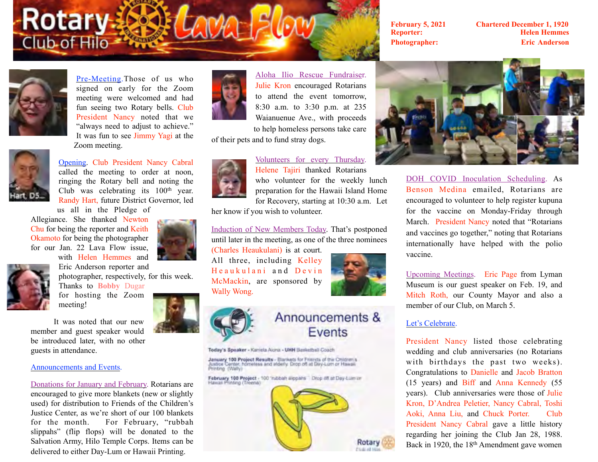# **Rotary:** Club of Hilo

**February 5, 2021 Chartered December 1, 1920 Reporter: Helen Hemmes Photographer: Eric Anderson**



Pre-Meeting.Those of us who signed on early for the Zoom meeting were welcomed and had fun seeing two Rotary bells. Club President Nancy noted that we "always need to adjust to achieve." It was fun to see Jimmy Yagi at the Zoom meeting.



Opening. Club President Nancy Cabral called the meeting to order at noon, ringing the Rotary bell and noting the Club was celebrating its 100<sup>th</sup> year. Randy Hart, future District Governor, led

us all in the Pledge of Allegiance. She thanked Newton Chu for being the reporter and Keith Okamoto for being the photographer for our Jan. 22 Lava Flow issue, with Helen Hemmes and





photographer, respectively, for this week. Thanks to **Bobby** Dugar

for hosting the Zoom meeting!

Eric Anderson reporter and

It was noted that our new member and guest speaker would be introduced later, with no other guests in attendance.

### Announcements and Events.

Donations for January and February. Rotarians are encouraged to give more blankets (new or slightly used) for distribution to Friends of the Children's Justice Center, as we're short of our 100 blankets for the month. For February, "rubbah slippahs" (flip flops) will be donated to the Salvation Army, Hilo Temple Corps. Items can be delivered to either Day-Lum or Hawaii Printing.



Aloha Ilio Rescue Fundraiser. Julie Kron encouraged Rotarians to attend the event tomorrow, 8:30 a.m. to 3:30 p.m. at 235 Waianuenue Ave., with proceeds to help homeless persons take care

of their pets and to fund stray dogs.



Volunteers for every Thursday. Helene Tajiri thanked Rotarians who volunteer for the weekly lunch preparation for the Hawaii Island Home for Recovery, starting at 10:30 a.m. Let

her know if you wish to volunteer.

Induction of New Members Today. That's postponed until later in the meeting, as one of the three nominees

(Charles Heaukulani) is at court. All three, including Kelley Heaukulani and Devin McMackin, are sponsored by Wally Wong.



Announcements & Events

Today's Speaker - Kaniela Aiona - UHH Basketball Coach

January 100 Project Results - Barkets for Friends of the Children's<br>Justice Center, homeless and elderly. Drop off at Day-Lom or Hawaii<br>Printing: (Wally)

February 100 Project - 100 "rubbah sippans" Drop off at Day-Lum on





DOH COVID Inoculation Scheduling. As Benson Medina emailed, Rotarians are encouraged to volunteer to help register kupuna for the vaccine on Monday-Friday through March. President Nancy noted that "Rotarians and vaccines go together," noting that Rotarians internationally have helped with the polio vaccine.

Upcoming Meetings. Eric Page from Lyman Museum is our guest speaker on Feb. 19, and Mitch Roth, our County Mayor and also a member of our Club, on March 5.

# Let's Celebrate.

President Nancy listed those celebrating wedding and club anniversaries (no Rotarians with birthdays the past two weeks). Congratulations to Danielle and Jacob Bratton (15 years) and Biff and Anna Kennedy (55 years). Club anniversaries were those of Julie Kron, D'Andrea Peletier, Nancy Cabral, Toshi Aoki, Anna Liu, and Chuck Porter. Club President Nancy Cabral gave a little history regarding her joining the Club Jan 28, 1988. Back in 1920, the 18th Amendment gave women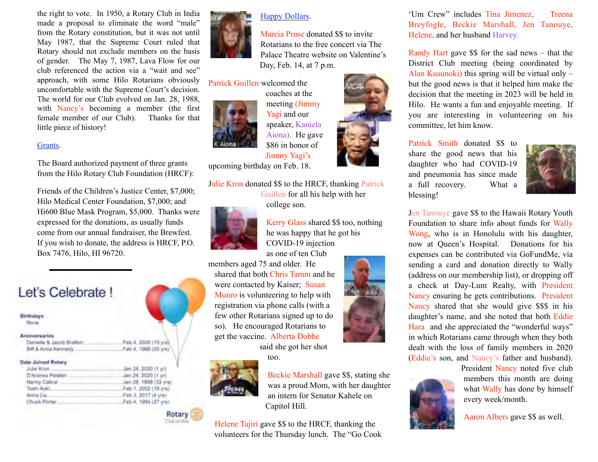the right to vote. In 1950, a Rotary Club in India made a proposal to eliminate the word "male" from the Rotary constitution, but it was not until May 1987, that the Supreme Court ruled that Rotary should not exclude members on the basis of gender. The May 7, 1987, Lava Flow for our club referenced the action via a "wait and see" approach, with some Hilo Rotarians obviously uncomfortable with the Supreme Court's decision. The world for our Club evolved on Jan. 28, 1988, with Nancy's becoming a member (the first female member of our Club). Thanks for that little piece of history!

## Grants.

The Board authorized payment of three grants from the Hilo Rotary Club Foundation (HRCF):

Friends of the Children's Justice Center, \$7,000; Hilo Medical Center Foundation, \$7,000; and Hi600 Blue Mask Program, \$5,000. Thanks were expressed for the donations, as usually funds come from our annual fundraiser, the Brewfest. If you wish to donate, the address is HRCF, P.O. Box 7476, Hilo, HI 96720.

> Feb 4, 2006 (15 yrs) .Feb 4. 1966 (55 yrs)

# Let's Celebrate I

Birthdays None

#### **Anniversaries**

Danielle & Jacob Bratton

| DIR & ARTIST MELTING, continuous |  |  |
|----------------------------------|--|--|
| Date Joined Rotary               |  |  |

| Julie Kron        | Jan 24, 2020 (1 yr)   |
|-------------------|-----------------------|
| D'Andrea Peletier | Jan 24, 2020 (1 yr)   |
| Nancy Cabral.     | Jan 28, 1988 (33 yrs) |
| Toshi Apkl        | Feb 1, 2002 (19 yrs)  |
| Anna Liu          | Feb 3, 2017 (4 yrs)   |
| Chuck Porter.     | Feb 4, 1994 (27 yrs)  |
|                   |                       |

Rotary **Club of His** 



# Happy Dollars.

Marcia Prose donated \$\$ to invite Rotarians to the free concert via The Palace Theatre website on Valentine's Day, Feb. 14, at 7 p.m.

Patrick Guillen welcomed the



coaches at the meeting (Jimmy Yagi and our speaker, Kaniela Aiona). He gave \$86 in honor of Jimmy Yagi's

upcoming birthday on Feb. 18.

Julie Kron donated \$\$ to the HRCF, thanking Patrick Guillen for all his help with her college son.



Kerry Glass shared \$\$ too, nothing he was happy that he got his

COVID-19 injection

as one of ten Club members aged 75 and older. He

shared that both Chris Tamm and he were contacted by Kaiser; Susan Munro is volunteering to help with registration via phone calls (with a few other Rotarians signed up to do so). He encouraged Rotarians to get the vaccine. Alberta Dobbe

too.

said she got her shot



Beckie Marshall gave \$\$, stating she was a proud Mom, with her daughter an intern for Senator Kahele on Capitol Hill.

Helene Tajiri gave \$\$ to the HRCF, thanking the volunteers for the Thursday lunch. The "Go Cook

'Um Crew" includes Tina Jimenez, Treena Breyfogle, Beckie Marshall, Jen Tanouye, Helene, and her husband Harvey.

Randy Hart gave \$\$ for the sad news – that the District Club meeting (being coordinated by Alan Kusunoki) this spring will be virtual only – but the good news is that it helped him make the decision that the meeting in 2023 will be held in Hilo. He wants a fun and enjoyable meeting. If you are interesting in volunteering on his committee, let him know.

Patrick Smith donated \$\$ to share the good news that his daughter who had COVID-19 and pneumonia has since made a full recovery. What a blessing!



Jen Tanouye gave \$\$ to the Hawaii Rotary Youth Foundation to share info about funds for Wally Wong, who is in Honolulu with his daughter, now at Queen's Hospital. Donations for his expenses can be contributed via GoFundMe, via sending a card and donation directly to Wally (address on our membership list), or dropping off a check at Day-Lum Realty, with President Nancy ensuring he gets contributions. President Nancy shared that she would give \$\$\$ in his daughter's name, and she noted that both Eddie Hara and she appreciated the "wonderful ways" in which Rotarians came through when they both dealt with the loss of family members in 2020 (Eddie's son, and Nancy's father and husband).



President Nancy noted five club members this month are doing what Wally has done by himself every week/month.

Aaron Albers gave \$\$ as well.



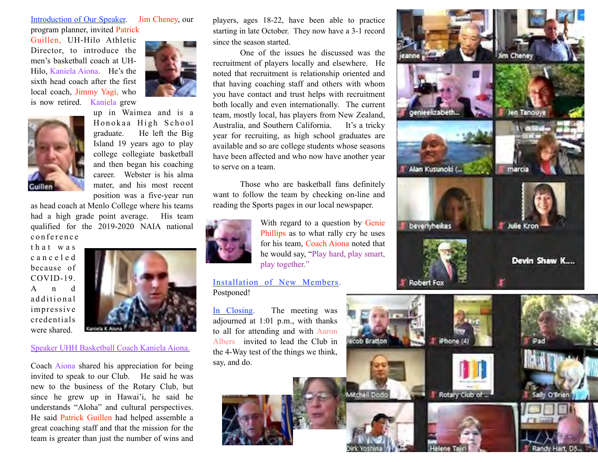# Introduction of Our Speaker. Jim Cheney, our program planner, invited Patrick

Guillen, UH-Hilo Athletic Director, to introduce the men's basketball coach at UH-Hilo, Kaniela Aiona. He's the sixth head coach after the first local coach, Jimmy Yagi, who is now retired. Kaniela grew





up in Waimea and is a Honokaa High School graduate. He left the Big Island 19 years ago to play college collegiate basketball and then began his coaching career. Webster is his alma mater, and his most recent position was a five-year run

as head coach at Menlo College where his teams had a high grade point average. His team qualified for the 2019-2020 NAIA national conference

t h a t w a s c a n c e l e d because of COVID-19. A n d additional impressive credentials were shared.



# Speaker UHH Basketball Coach Kaniela Aiona.

Coach Aiona shared his appreciation for being invited to speak to our Club. He said he was new to the business of the Rotary Club, but since he grew up in Hawai'i, he said he understands "Aloha" and cultural perspectives. He said Patrick Guillen had helped assemble a great coaching staff and that the mission for the team is greater than just the number of wins and players, ages 18-22, have been able to practice starting in late October. They now have a 3-1 record since the season started.

 One of the issues he discussed was the recruitment of players locally and elsewhere. He noted that recruitment is relationship oriented and that having coaching staff and others with whom you have contact and trust helps with recruitment both locally and even internationally. The current team, mostly local, has players from New Zealand, Australia, and Southern California. It's a tricky year for recruiting, as high school graduates are available and so are college students whose seasons have been affected and who now have another year to serve on a team.

 Those who are basketball fans definitely want to follow the team by checking on-line and reading the Sports pages in our local newspaper.



With regard to a question by Genie Phillips as to what rally cry he uses for his team, Coach Aiona noted that he would say, "Play hard, play smart, play together."

# Installation of New Members. Postponed!

In Closing. The meeting was adjourned at 1:01 p.m., with thanks to all for attending and with Aaron Albers invited to lead the Club in the 4-Way test of the things we think, say, and do.